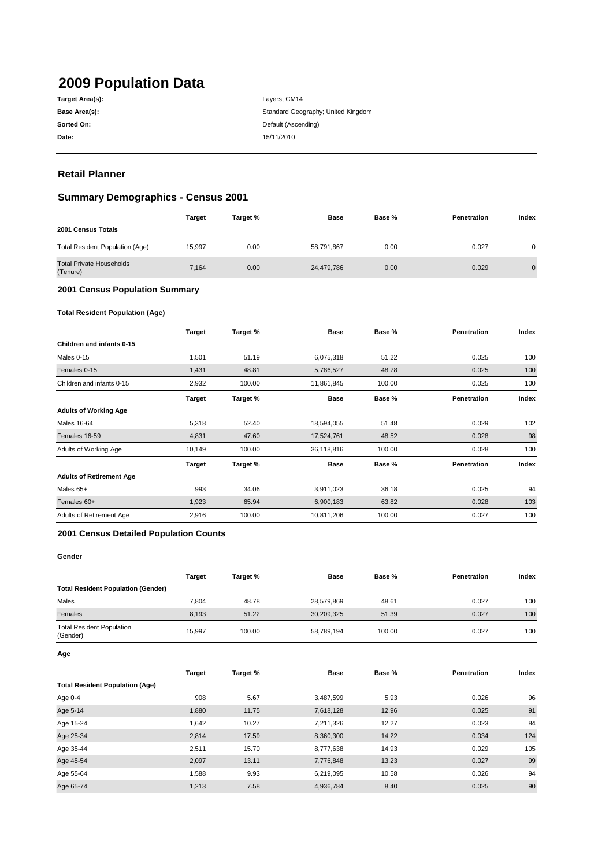# **2009 Population Data**

| Target Area(s): |
|-----------------|
| Base Area(s):   |
| Sorted On:      |
| Date:           |

**Date:** 15/11/2010 Layers; CM14 Standard Geography; United Kingdom **Default (Ascending)** 

# **Retail Planner**

# **Summary Demographics - Census 2001**

|                                             | <b>Target</b> | Target % | <b>Base</b> | Base % | Penetration | Index          |
|---------------------------------------------|---------------|----------|-------------|--------|-------------|----------------|
| 2001 Census Totals                          |               |          |             |        |             |                |
| Total Resident Population (Age)             | 15.997        | 0.00     | 58,791,867  | 0.00   | 0.027       | 0              |
| <b>Total Private Households</b><br>(Tenure) | 7,164         | 0.00     | 24,479,786  | 0.00   | 0.029       | $\overline{0}$ |

#### **2001 Census Population Summary**

#### **Total Resident Population (Age)**

|                                 | <b>Target</b> | Target % | <b>Base</b> | Base % | Penetration | Index |
|---------------------------------|---------------|----------|-------------|--------|-------------|-------|
| Children and infants 0-15       |               |          |             |        |             |       |
| Males 0-15                      | 1,501         | 51.19    | 6,075,318   | 51.22  | 0.025       | 100   |
| Females 0-15                    | 1,431         | 48.81    | 5,786,527   | 48.78  | 0.025       | 100   |
| Children and infants 0-15       | 2,932         | 100.00   | 11,861,845  | 100.00 | 0.025       | 100   |
|                                 | <b>Target</b> | Target % | <b>Base</b> | Base % | Penetration | Index |
| <b>Adults of Working Age</b>    |               |          |             |        |             |       |
| <b>Males 16-64</b>              | 5,318         | 52.40    | 18,594,055  | 51.48  | 0.029       | 102   |
| Females 16-59                   | 4,831         | 47.60    | 17,524,761  | 48.52  | 0.028       | 98    |
| Adults of Working Age           | 10,149        | 100.00   | 36,118,816  | 100.00 | 0.028       | 100   |
|                                 | <b>Target</b> | Target % | <b>Base</b> | Base % | Penetration | Index |
| <b>Adults of Retirement Age</b> |               |          |             |        |             |       |
| Males 65+                       | 993           | 34.06    | 3,911,023   | 36.18  | 0.025       | 94    |
| Females 60+                     | 1,923         | 65.94    | 6,900,183   | 63.82  | 0.028       | 103   |
| Adults of Retirement Age        | 2,916         | 100.00   | 10,811,206  | 100.00 | 0.027       | 100   |

#### **2001 Census Detailed Population Counts**

#### **Gender**

|                                              | <b>Target</b> | Target % | Base       | Base % | <b>Penetration</b> | Index |
|----------------------------------------------|---------------|----------|------------|--------|--------------------|-------|
| <b>Total Resident Population (Gender)</b>    |               |          |            |        |                    |       |
| Males                                        | 7.804         | 48.78    | 28,579,869 | 48.61  | 0.027              | 100   |
| Females                                      | 8.193         | 51.22    | 30,209,325 | 51.39  | 0.027              | 100   |
| <b>Total Resident Population</b><br>(Gender) | 15.997        | 100.00   | 58,789,194 | 100.00 | 0.027              | 100   |

**Age**

|                                        | <b>Target</b> | Target % | <b>Base</b> | Base % | Penetration | Index |
|----------------------------------------|---------------|----------|-------------|--------|-------------|-------|
| <b>Total Resident Population (Age)</b> |               |          |             |        |             |       |
| Age 0-4                                | 908           | 5.67     | 3,487,599   | 5.93   | 0.026       | 96    |
| Age 5-14                               | 1,880         | 11.75    | 7,618,128   | 12.96  | 0.025       | 91    |
| Age 15-24                              | 1,642         | 10.27    | 7,211,326   | 12.27  | 0.023       | 84    |
| Age 25-34                              | 2.814         | 17.59    | 8,360,300   | 14.22  | 0.034       | 124   |
| Age 35-44                              | 2,511         | 15.70    | 8,777,638   | 14.93  | 0.029       | 105   |
| Age 45-54                              | 2,097         | 13.11    | 7,776,848   | 13.23  | 0.027       | 99    |
| Age 55-64                              | 1,588         | 9.93     | 6,219,095   | 10.58  | 0.026       | 94    |
| Age 65-74                              | 1,213         | 7.58     | 4,936,784   | 8.40   | 0.025       | 90    |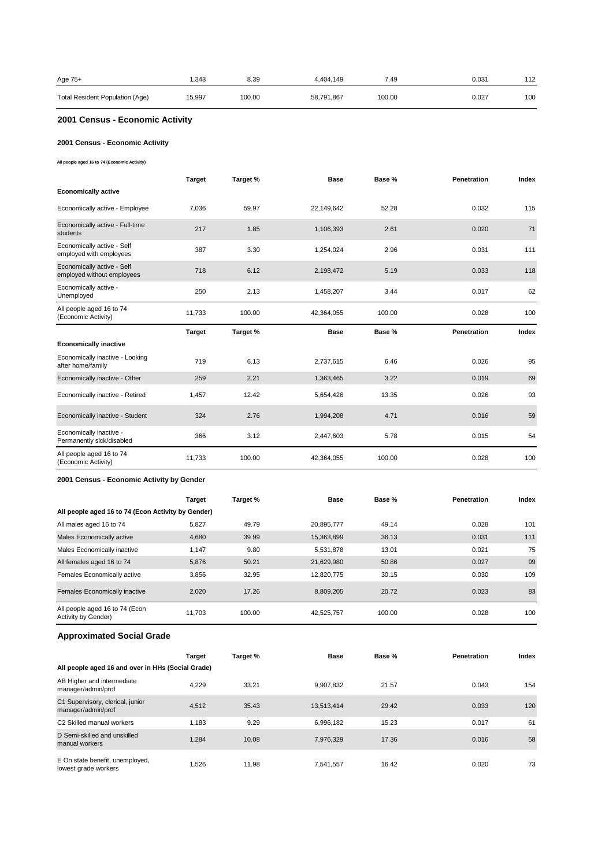| Age 75+                         | .343  | 8.39   | 4.404.149  | 7.49   | 0.031 | 112 |
|---------------------------------|-------|--------|------------|--------|-------|-----|
| Total Resident Population (Age) | 5,997 | 100.00 | 58,791,867 | 100.00 | 0.027 | 100 |

# **2001 Census - Economic Activity**

#### **2001 Census - Economic Activity**

**All people aged 16 to 74 (Economic Activity)**

|                                                          | <b>Target</b> | Target % | Base        | Base % | Penetration | Index |
|----------------------------------------------------------|---------------|----------|-------------|--------|-------------|-------|
| <b>Economically active</b>                               |               |          |             |        |             |       |
| Economically active - Employee                           | 7,036         | 59.97    | 22,149,642  | 52.28  | 0.032       | 115   |
| Economically active - Full-time<br>students              | 217           | 1.85     | 1,106,393   | 2.61   | 0.020       | 71    |
| Economically active - Self<br>employed with employees    | 387           | 3.30     | 1,254,024   | 2.96   | 0.031       | 111   |
| Economically active - Self<br>employed without employees | 718           | 6.12     | 2,198,472   | 5.19   | 0.033       | 118   |
| Economically active -<br>Unemployed                      | 250           | 2.13     | 1,458,207   | 3.44   | 0.017       | 62    |
| All people aged 16 to 74<br>(Economic Activity)          | 11,733        | 100.00   | 42,364,055  | 100.00 | 0.028       | 100   |
|                                                          |               |          |             |        |             |       |
|                                                          | <b>Target</b> | Target % | <b>Base</b> | Base % | Penetration | Index |
| <b>Economically inactive</b>                             |               |          |             |        |             |       |
| Economically inactive - Looking<br>after home/family     | 719           | 6.13     | 2,737,615   | 6.46   | 0.026       | 95    |
| Economically inactive - Other                            | 259           | 2.21     | 1,363,465   | 3.22   | 0.019       | 69    |
| Economically inactive - Retired                          | 1,457         | 12.42    | 5,654,426   | 13.35  | 0.026       | 93    |
| Economically inactive - Student                          | 324           | 2.76     | 1,994,208   | 4.71   | 0.016       | 59    |
| Economically inactive -<br>Permanently sick/disabled     | 366           | 3.12     | 2,447,603   | 5.78   | 0.015       | 54    |

#### **2001 Census - Economic Activity by Gender**

|                                                       | <b>Target</b> | Target % | <b>Base</b> | Base % | Penetration | Index |
|-------------------------------------------------------|---------------|----------|-------------|--------|-------------|-------|
| All people aged 16 to 74 (Econ Activity by Gender)    |               |          |             |        |             |       |
| All males aged 16 to 74                               | 5,827         | 49.79    | 20.895.777  | 49.14  | 0.028       | 101   |
| Males Economically active                             | 4,680         | 39.99    | 15,363,899  | 36.13  | 0.031       | 111   |
| Males Economically inactive                           | 1,147         | 9.80     | 5,531,878   | 13.01  | 0.021       | 75    |
| All females aged 16 to 74                             | 5,876         | 50.21    | 21,629,980  | 50.86  | 0.027       | 99    |
| Females Economically active                           | 3.856         | 32.95    | 12.820.775  | 30.15  | 0.030       | 109   |
| Females Economically inactive                         | 2.020         | 17.26    | 8.809.205   | 20.72  | 0.023       | 83    |
| All people aged 16 to 74 (Econ<br>Activity by Gender) | 11.703        | 100.00   | 42,525,757  | 100.00 | 0.028       | 100   |

# **Approximated Social Grade**

|                                                         | <b>Target</b> | Target % | <b>Base</b> | Base % | <b>Penetration</b> | Index |
|---------------------------------------------------------|---------------|----------|-------------|--------|--------------------|-------|
| All people aged 16 and over in HHs (Social Grade)       |               |          |             |        |                    |       |
| AB Higher and intermediate<br>manager/admin/prof        | 4.229         | 33.21    | 9.907.832   | 21.57  | 0.043              | 154   |
| C1 Supervisory, clerical, junior<br>manager/admin/prof  | 4.512         | 35.43    | 13,513,414  | 29.42  | 0.033              | 120   |
| C <sub>2</sub> Skilled manual workers                   | 1.183         | 9.29     | 6.996.182   | 15.23  | 0.017              | 61    |
| D Semi-skilled and unskilled<br>manual workers          | 1.284         | 10.08    | 7.976.329   | 17.36  | 0.016              | 58    |
| E On state benefit, unemployed,<br>lowest grade workers | 1.526         | 11.98    | 7.541.557   | 16.42  | 0.020              | 73    |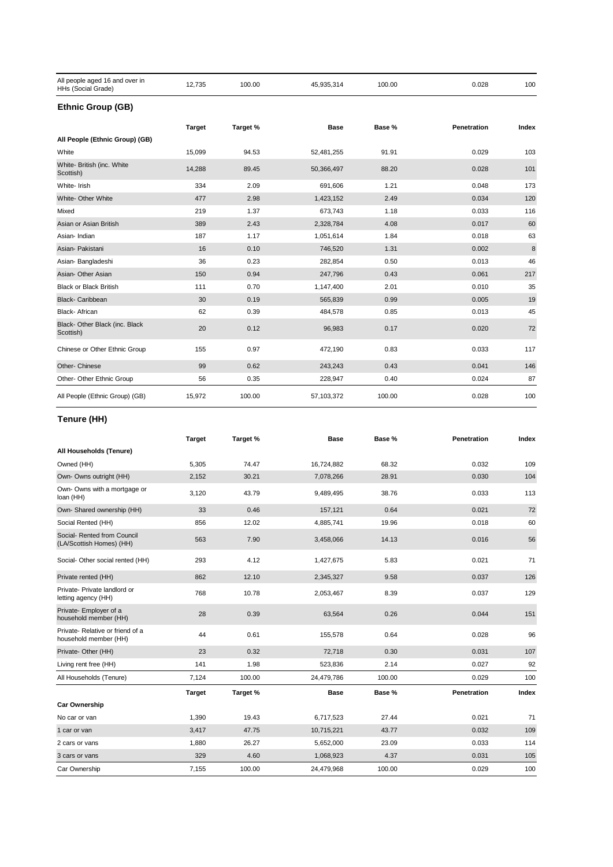| All people aged 16 and over in<br>HHs (Social Grade) | 12,735        | 100.00   | 45,935,314 | 100.00 | 0.028       | 100     |
|------------------------------------------------------|---------------|----------|------------|--------|-------------|---------|
| <b>Ethnic Group (GB)</b>                             |               |          |            |        |             |         |
|                                                      | <b>Target</b> | Target % | Base       | Base % | Penetration | Index   |
| All People (Ethnic Group) (GB)                       |               |          |            |        |             |         |
| White                                                | 15,099        | 94.53    | 52,481,255 | 91.91  | 0.029       | 103     |
| White- British (inc. White<br>Scottish)              | 14,288        | 89.45    | 50,366,497 | 88.20  | 0.028       | 101     |
| White- Irish                                         | 334           | 2.09     | 691,606    | 1.21   | 0.048       | 173     |
| White- Other White                                   | 477           | 2.98     | 1,423,152  | 2.49   | 0.034       | 120     |
| Mixed                                                | 219           | 1.37     | 673,743    | 1.18   | 0.033       | 116     |
| Asian or Asian British                               | 389           | 2.43     | 2,328,784  | 4.08   | 0.017       | 60      |
| Asian-Indian                                         | 187           | 1.17     | 1,051,614  | 1.84   | 0.018       | 63      |
| Asian- Pakistani                                     | 16            | 0.10     | 746,520    | 1.31   | 0.002       | $\bf 8$ |
| Asian-Bangladeshi                                    | 36            | 0.23     | 282,854    | 0.50   | 0.013       | 46      |
| Asian- Other Asian                                   | 150           | 0.94     | 247,796    | 0.43   | 0.061       | 217     |
| <b>Black or Black British</b>                        | 111           | 0.70     | 1,147,400  | 2.01   | 0.010       | 35      |
| <b>Black-Caribbean</b>                               | 30            | 0.19     | 565,839    | 0.99   | 0.005       | 19      |
| <b>Black-African</b>                                 | 62            | 0.39     | 484,578    | 0.85   | 0.013       | 45      |
| Black- Other Black (inc. Black<br>Scottish)          | 20            | 0.12     | 96,983     | 0.17   | 0.020       | 72      |
| Chinese or Other Ethnic Group                        | 155           | 0.97     | 472,190    | 0.83   | 0.033       | 117     |
| Other- Chinese                                       | 99            | 0.62     | 243,243    | 0.43   | 0.041       | 146     |
| Other- Other Ethnic Group                            | 56            | 0.35     | 228,947    | 0.40   | 0.024       | 87      |
| All People (Ethnic Group) (GB)                       | 15,972        | 100.00   | 57,103,372 | 100.00 | 0.028       | 100     |

# **Tenure (HH)**

|                                                          | <b>Target</b> | Target % | <b>Base</b> | Base % | Penetration | Index |
|----------------------------------------------------------|---------------|----------|-------------|--------|-------------|-------|
| All Households (Tenure)                                  |               |          |             |        |             |       |
| Owned (HH)                                               | 5,305         | 74.47    | 16,724,882  | 68.32  | 0.032       | 109   |
| Own- Owns outright (HH)                                  | 2,152         | 30.21    | 7,078,266   | 28.91  | 0.030       | 104   |
| Own- Owns with a mortgage or<br>loan (HH)                | 3,120         | 43.79    | 9,489,495   | 38.76  | 0.033       | 113   |
| Own- Shared ownership (HH)                               | 33            | 0.46     | 157,121     | 0.64   | 0.021       | 72    |
| Social Rented (HH)                                       | 856           | 12.02    | 4,885,741   | 19.96  | 0.018       | 60    |
| Social- Rented from Council<br>(LA/Scottish Homes) (HH)  | 563           | 7.90     | 3,458,066   | 14.13  | 0.016       | 56    |
| Social- Other social rented (HH)                         | 293           | 4.12     | 1,427,675   | 5.83   | 0.021       | 71    |
| Private rented (HH)                                      | 862           | 12.10    | 2,345,327   | 9.58   | 0.037       | 126   |
| Private- Private landlord or<br>letting agency (HH)      | 768           | 10.78    | 2,053,467   | 8.39   | 0.037       | 129   |
| Private- Employer of a<br>household member (HH)          | 28            | 0.39     | 63,564      | 0.26   | 0.044       | 151   |
| Private-Relative or friend of a<br>household member (HH) | 44            | 0.61     | 155,578     | 0.64   | 0.028       | 96    |
| Private- Other (HH)                                      | 23            | 0.32     | 72,718      | 0.30   | 0.031       | 107   |
| Living rent free (HH)                                    | 141           | 1.98     | 523,836     | 2.14   | 0.027       | 92    |
| All Households (Tenure)                                  | 7,124         | 100.00   | 24,479,786  | 100.00 | 0.029       | 100   |
|                                                          | <b>Target</b> | Target % | <b>Base</b> | Base % | Penetration | Index |
| <b>Car Ownership</b>                                     |               |          |             |        |             |       |
| No car or van                                            | 1,390         | 19.43    | 6,717,523   | 27.44  | 0.021       | 71    |
| 1 car or van                                             | 3,417         | 47.75    | 10,715,221  | 43.77  | 0.032       | 109   |
| 2 cars or vans                                           | 1,880         | 26.27    | 5,652,000   | 23.09  | 0.033       | 114   |
| 3 cars or vans                                           | 329           | 4.60     | 1,068,923   | 4.37   | 0.031       | 105   |
| Car Ownership                                            | 7,155         | 100.00   | 24,479,968  | 100.00 | 0.029       | 100   |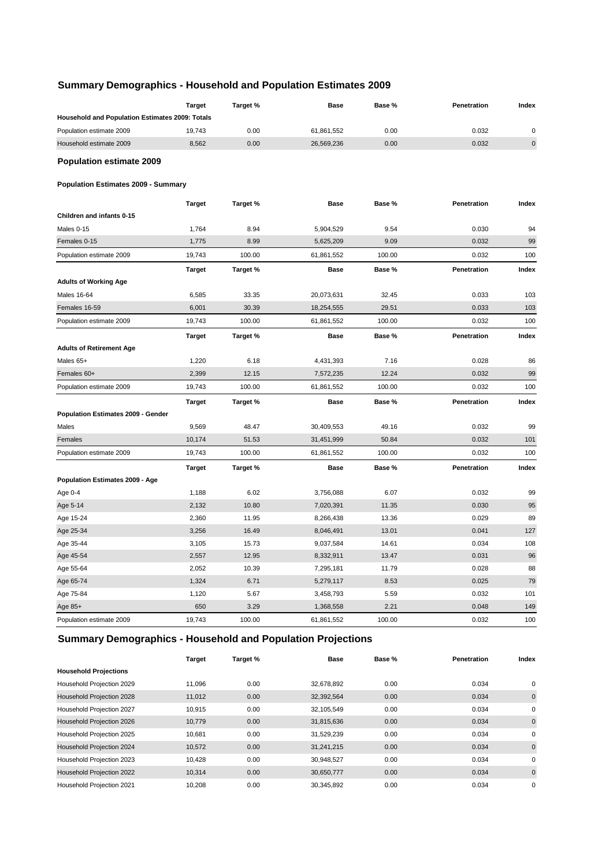# **Summary Demographics - Household and Population Estimates 2009**

|                                                                    | <b>Target</b> | Target % | <b>Base</b> | Base % | Penetration | Index       |
|--------------------------------------------------------------------|---------------|----------|-------------|--------|-------------|-------------|
| Household and Population Estimates 2009: Totals                    |               |          |             |        |             |             |
| Population estimate 2009                                           | 19,743        | 0.00     | 61,861,552  | 0.00   | 0.032       | 0           |
| Household estimate 2009                                            | 8,562         | 0.00     | 26,569,236  | 0.00   | 0.032       | $\mathbf 0$ |
| <b>Population estimate 2009</b>                                    |               |          |             |        |             |             |
| <b>Population Estimates 2009 - Summary</b>                         |               |          |             |        |             |             |
|                                                                    | <b>Target</b> | Target % | Base        | Base % | Penetration | Index       |
| Children and infants 0-15                                          |               |          |             |        |             |             |
| Males 0-15                                                         | 1,764         | 8.94     | 5,904,529   | 9.54   | 0.030       | 94          |
| Females 0-15                                                       | 1,775         | 8.99     | 5,625,209   | 9.09   | 0.032       | 99          |
| Population estimate 2009                                           | 19,743        | 100.00   | 61,861,552  | 100.00 | 0.032       | 100         |
|                                                                    | Target        | Target % | Base        | Base % | Penetration | Index       |
| <b>Adults of Working Age</b>                                       |               |          |             |        |             |             |
| Males 16-64                                                        | 6,585         | 33.35    | 20,073,631  | 32.45  | 0.033       | 103         |
| Females 16-59                                                      | 6,001         | 30.39    | 18,254,555  | 29.51  | 0.033       | 103         |
| Population estimate 2009                                           | 19,743        | 100.00   | 61,861,552  | 100.00 | 0.032       | 100         |
|                                                                    | <b>Target</b> | Target % | <b>Base</b> | Base % | Penetration | Index       |
| <b>Adults of Retirement Age</b>                                    |               |          |             |        |             |             |
| Males 65+                                                          | 1,220         | 6.18     | 4,431,393   | 7.16   | 0.028       | 86          |
| Females 60+                                                        | 2,399         | 12.15    | 7,572,235   | 12.24  | 0.032       | 99          |
| Population estimate 2009                                           | 19,743        | 100.00   | 61,861,552  | 100.00 | 0.032       | 100         |
|                                                                    | <b>Target</b> | Target % | <b>Base</b> | Base % | Penetration | Index       |
| <b>Population Estimates 2009 - Gender</b>                          |               |          |             |        |             |             |
| Males                                                              | 9,569         | 48.47    | 30,409,553  | 49.16  | 0.032       | 99          |
| Females                                                            | 10,174        | 51.53    | 31,451,999  | 50.84  | 0.032       | 101         |
| Population estimate 2009                                           | 19,743        | 100.00   | 61,861,552  | 100.00 | 0.032       | 100         |
|                                                                    | <b>Target</b> | Target % | Base        | Base % | Penetration | Index       |
| Population Estimates 2009 - Age                                    |               |          |             |        |             |             |
| Age 0-4                                                            | 1,188         | 6.02     | 3,756,088   | 6.07   | 0.032       | 99          |
| Age 5-14                                                           | 2,132         | 10.80    | 7,020,391   | 11.35  | 0.030       | 95          |
| Age 15-24                                                          | 2,360         | 11.95    | 8,266,438   | 13.36  | 0.029       | 89          |
| Age 25-34                                                          | 3,256         | 16.49    | 8,046,491   | 13.01  | 0.041       | 127         |
| Age 35-44                                                          | 3,105         | 15.73    | 9,037,584   | 14.61  | 0.034       | 108         |
| Age 45-54                                                          | 2,557         | 12.95    | 8,332,911   | 13.47  | 0.031       | 96          |
| Age 55-64                                                          | 2,052         | 10.39    | 7,295,181   | 11.79  | 0.028       | 88          |
| Age 65-74                                                          | 1,324         | 6.71     | 5,279,117   | 8.53   | 0.025       | 79          |
| Age 75-84                                                          | 1,120         | 5.67     | 3,458,793   | 5.59   | 0.032       | 101         |
| Age 85+                                                            | 650           | 3.29     | 1,368,558   | 2.21   | 0.048       | 149         |
| Population estimate 2009                                           | 19,743        | 100.00   | 61,861,552  | 100.00 | 0.032       | 100         |
| <b>Summary Demographics - Household and Population Projections</b> |               |          |             |        |             |             |

|                              | Target | Target % | Base       | Base % | <b>Penetration</b> | Index        |
|------------------------------|--------|----------|------------|--------|--------------------|--------------|
| <b>Household Projections</b> |        |          |            |        |                    |              |
| Household Projection 2029    | 11.096 | 0.00     | 32,678,892 | 0.00   | 0.034              | $\mathbf 0$  |
| Household Projection 2028    | 11.012 | 0.00     | 32,392,564 | 0.00   | 0.034              | $\mathbf 0$  |
| Household Projection 2027    | 10,915 | 0.00     | 32,105,549 | 0.00   | 0.034              | $\mathbf 0$  |
| Household Projection 2026    | 10.779 | 0.00     | 31,815,636 | 0.00   | 0.034              | $\mathbf{0}$ |
| Household Projection 2025    | 10.681 | 0.00     | 31,529,239 | 0.00   | 0.034              | 0            |
| Household Projection 2024    | 10,572 | 0.00     | 31,241,215 | 0.00   | 0.034              | $\mathbf{0}$ |
| Household Projection 2023    | 10,428 | 0.00     | 30,948,527 | 0.00   | 0.034              | 0            |
| Household Projection 2022    | 10,314 | 0.00     | 30,650,777 | 0.00   | 0.034              | $\mathbf 0$  |
| Household Projection 2021    | 10,208 | 0.00     | 30,345,892 | 0.00   | 0.034              | $\mathbf 0$  |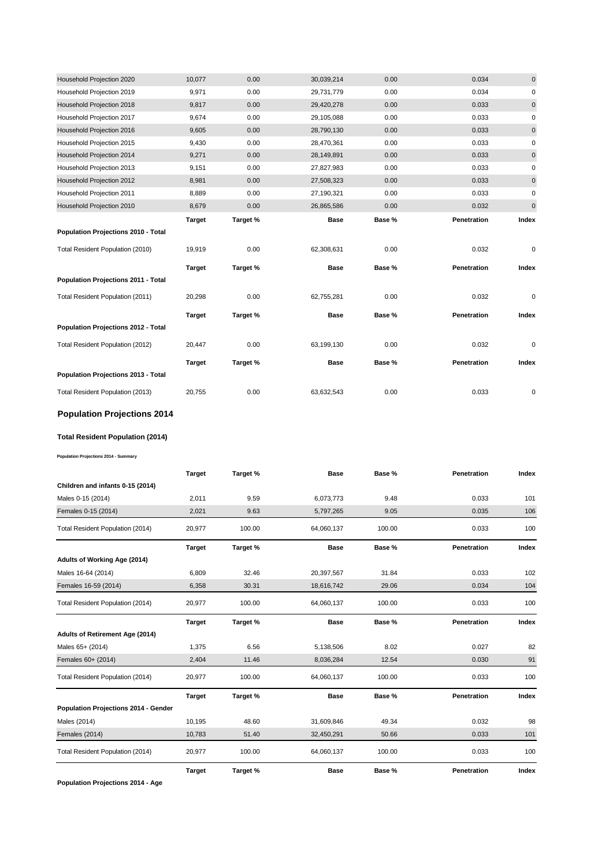| Household Projection 2020           | 10,077        | 0.00     | 30,039,214  | 0.00   | 0.034       | $\mathbf{0}$ |
|-------------------------------------|---------------|----------|-------------|--------|-------------|--------------|
| Household Projection 2019           | 9,971         | 0.00     | 29,731,779  | 0.00   | 0.034       | 0            |
| Household Projection 2018           | 9,817         | 0.00     | 29,420,278  | 0.00   | 0.033       | $\pmb{0}$    |
| Household Projection 2017           | 9,674         | 0.00     | 29,105,088  | 0.00   | 0.033       | 0            |
| Household Projection 2016           | 9,605         | 0.00     | 28,790,130  | 0.00   | 0.033       | $\mathbf 0$  |
| Household Projection 2015           | 9,430         | 0.00     | 28,470,361  | 0.00   | 0.033       | 0            |
| Household Projection 2014           | 9,271         | 0.00     | 28,149,891  | 0.00   | 0.033       | 0            |
| Household Projection 2013           | 9,151         | 0.00     | 27,827,983  | 0.00   | 0.033       | 0            |
| Household Projection 2012           | 8,981         | 0.00     | 27,508,323  | 0.00   | 0.033       | 0            |
| Household Projection 2011           | 8,889         | 0.00     | 27,190,321  | 0.00   | 0.033       | 0            |
| Household Projection 2010           | 8,679         | 0.00     | 26,865,586  | 0.00   | 0.032       | $\pmb{0}$    |
|                                     | <b>Target</b> | Target % | <b>Base</b> | Base % | Penetration | Index        |
| Population Projections 2010 - Total |               |          |             |        |             |              |
|                                     |               |          |             |        |             |              |
| Total Resident Population (2010)    | 19,919        | 0.00     | 62,308,631  | 0.00   | 0.032       | $\mathbf 0$  |
|                                     | <b>Target</b> | Target % | <b>Base</b> | Base % | Penetration | Index        |
| Population Projections 2011 - Total |               |          |             |        |             |              |
| Total Resident Population (2011)    | 20,298        | 0.00     | 62,755,281  | 0.00   | 0.032       | $\mathbf 0$  |
|                                     | <b>Target</b> | Target % | <b>Base</b> | Base % | Penetration | Index        |
| Population Projections 2012 - Total |               |          |             |        |             |              |
| Total Resident Population (2012)    | 20,447        | 0.00     | 63,199,130  | 0.00   | 0.032       | 0            |
|                                     | <b>Target</b> | Target % | <b>Base</b> | Base % | Penetration | Index        |
| Population Projections 2013 - Total |               |          |             |        |             |              |

# **Population Projections 2014**

#### **Total Resident Population (2014)**

**Population Projections 2014 - Summary**

|                                      | <b>Target</b> | Target % | <b>Base</b> | Base % | Penetration | Index |
|--------------------------------------|---------------|----------|-------------|--------|-------------|-------|
| Children and infants 0-15 (2014)     |               |          |             |        |             |       |
| Males 0-15 (2014)                    | 2,011         | 9.59     | 6,073,773   | 9.48   | 0.033       | 101   |
| Females 0-15 (2014)                  | 2,021         | 9.63     | 5,797,265   | 9.05   | 0.035       | 106   |
| Total Resident Population (2014)     | 20,977        | 100.00   | 64,060,137  | 100.00 | 0.033       | 100   |
|                                      | <b>Target</b> | Target % | <b>Base</b> | Base % | Penetration | Index |
| Adults of Working Age (2014)         |               |          |             |        |             |       |
| Males 16-64 (2014)                   | 6,809         | 32.46    | 20,397,567  | 31.84  | 0.033       | 102   |
| Females 16-59 (2014)                 | 6,358         | 30.31    | 18,616,742  | 29.06  | 0.034       | 104   |
| Total Resident Population (2014)     | 20,977        | 100.00   | 64,060,137  | 100.00 | 0.033       | 100   |
|                                      | <b>Target</b> | Target % | <b>Base</b> | Base % | Penetration | Index |
| Adults of Retirement Age (2014)      |               |          |             |        |             |       |
| Males 65+ (2014)                     | 1,375         | 6.56     | 5,138,506   | 8.02   | 0.027       | 82    |
| Females 60+ (2014)                   | 2,404         | 11.46    | 8,036,284   | 12.54  | 0.030       | 91    |
| Total Resident Population (2014)     | 20,977        | 100.00   | 64,060,137  | 100.00 | 0.033       | 100   |
|                                      | <b>Target</b> | Target % | <b>Base</b> | Base % | Penetration | Index |
| Population Projections 2014 - Gender |               |          |             |        |             |       |
| Males (2014)                         | 10,195        | 48.60    | 31,609,846  | 49.34  | 0.032       | 98    |
| Females (2014)                       | 10,783        | 51.40    | 32,450,291  | 50.66  | 0.033       | 101   |
| Total Resident Population (2014)     | 20,977        | 100.00   | 64,060,137  | 100.00 | 0.033       | 100   |
|                                      | <b>Target</b> | Target % | <b>Base</b> | Base % | Penetration | Index |

**Population Projections 2014 - Age**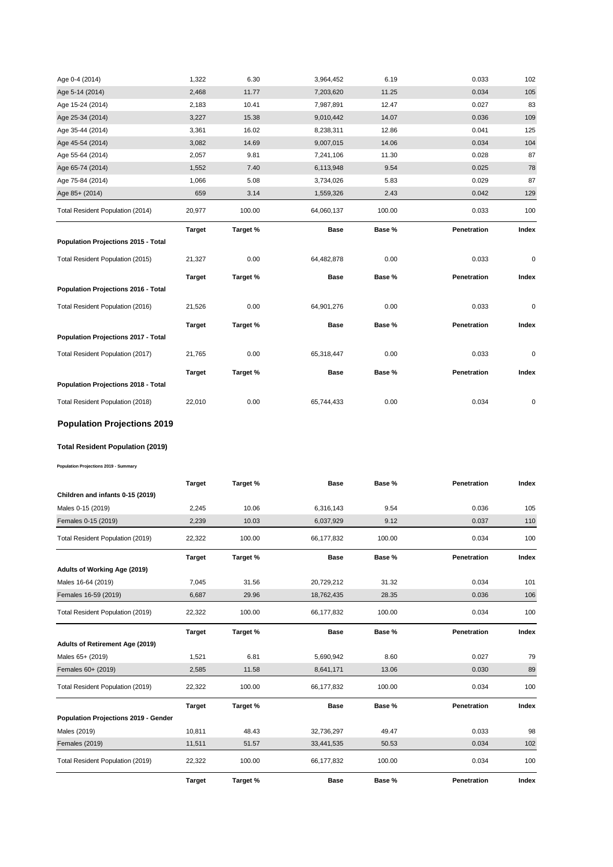| Age 0-4 (2014)                      | 1,322         | 6.30     | 3,964,452   | 6.19   | 0.033       | 102       |
|-------------------------------------|---------------|----------|-------------|--------|-------------|-----------|
| Age 5-14 (2014)                     | 2,468         | 11.77    | 7,203,620   | 11.25  | 0.034       | 105       |
| Age 15-24 (2014)                    | 2.183         | 10.41    | 7,987,891   | 12.47  | 0.027       | 83        |
| Age 25-34 (2014)                    | 3,227         | 15.38    | 9,010,442   | 14.07  | 0.036       | 109       |
| Age 35-44 (2014)                    | 3,361         | 16.02    | 8,238,311   | 12.86  | 0.041       | 125       |
| Age 45-54 (2014)                    | 3,082         | 14.69    | 9,007,015   | 14.06  | 0.034       | 104       |
| Age 55-64 (2014)                    | 2,057         | 9.81     | 7,241,106   | 11.30  | 0.028       | 87        |
| Age 65-74 (2014)                    | 1,552         | 7.40     | 6,113,948   | 9.54   | 0.025       | 78        |
| Age 75-84 (2014)                    | 1,066         | 5.08     | 3,734,026   | 5.83   | 0.029       | 87        |
| Age 85+ (2014)                      | 659           | 3.14     | 1,559,326   | 2.43   | 0.042       | 129       |
| Total Resident Population (2014)    | 20,977        | 100.00   | 64,060,137  | 100.00 | 0.033       | 100       |
|                                     | <b>Target</b> | Target % | <b>Base</b> | Base % | Penetration | Index     |
| Population Projections 2015 - Total |               |          |             |        |             |           |
| Total Resident Population (2015)    | 21,327        | 0.00     | 64,482,878  | 0.00   | 0.033       | 0         |
|                                     |               |          |             |        |             |           |
|                                     | <b>Target</b> | Target % | <b>Base</b> | Base % | Penetration | Index     |
| Population Projections 2016 - Total |               |          |             |        |             |           |
| Total Resident Population (2016)    | 21,526        | 0.00     | 64,901,276  | 0.00   | 0.033       | $\pmb{0}$ |
|                                     | <b>Target</b> | Target % | <b>Base</b> | Base % | Penetration | Index     |
| Population Projections 2017 - Total |               |          |             |        |             |           |
| Total Resident Population (2017)    | 21,765        | 0.00     | 65,318,447  | 0.00   | 0.033       | 0         |
|                                     | <b>Target</b> | Target % | <b>Base</b> | Base % | Penetration | Index     |
| Population Projections 2018 - Total |               |          |             |        |             |           |

# **Population Projections 2019**

# **Total Resident Population (2019)**

**Population Projections 2019 - Summary**

|                                             | <b>Target</b> | Target % | <b>Base</b> | Base % | Penetration | Index |
|---------------------------------------------|---------------|----------|-------------|--------|-------------|-------|
| Children and infants 0-15 (2019)            |               |          |             |        |             |       |
| Males 0-15 (2019)                           | 2,245         | 10.06    | 6,316,143   | 9.54   | 0.036       | 105   |
| Females 0-15 (2019)                         | 2,239         | 10.03    | 6,037,929   | 9.12   | 0.037       | 110   |
| Total Resident Population (2019)            | 22,322        | 100.00   | 66,177,832  | 100.00 | 0.034       | 100   |
|                                             | <b>Target</b> | Target % | <b>Base</b> | Base % | Penetration | Index |
| Adults of Working Age (2019)                |               |          |             |        |             |       |
| Males 16-64 (2019)                          | 7,045         | 31.56    | 20,729,212  | 31.32  | 0.034       | 101   |
| Females 16-59 (2019)                        | 6,687         | 29.96    | 18,762,435  | 28.35  | 0.036       | 106   |
| Total Resident Population (2019)            | 22,322        | 100.00   | 66,177,832  | 100.00 | 0.034       | 100   |
|                                             | <b>Target</b> | Target % | <b>Base</b> | Base % | Penetration | Index |
| Adults of Retirement Age (2019)             |               |          |             |        |             |       |
| Males 65+ (2019)                            | 1,521         | 6.81     | 5,690,942   | 8.60   | 0.027       | 79    |
| Females 60+ (2019)                          | 2,585         | 11.58    | 8,641,171   | 13.06  | 0.030       | 89    |
| Total Resident Population (2019)            | 22,322        | 100.00   | 66,177,832  | 100.00 | 0.034       | 100   |
|                                             | <b>Target</b> | Target % | <b>Base</b> | Base % | Penetration | Index |
| <b>Population Projections 2019 - Gender</b> |               |          |             |        |             |       |
| Males (2019)                                | 10,811        | 48.43    | 32,736,297  | 49.47  | 0.033       | 98    |
| <b>Females (2019)</b>                       | 11,511        | 51.57    | 33,441,535  | 50.53  | 0.034       | 102   |
| Total Resident Population (2019)            | 22,322        | 100.00   | 66,177,832  | 100.00 | 0.034       | 100   |
|                                             | <b>Target</b> | Target % | <b>Base</b> | Base % | Penetration | Index |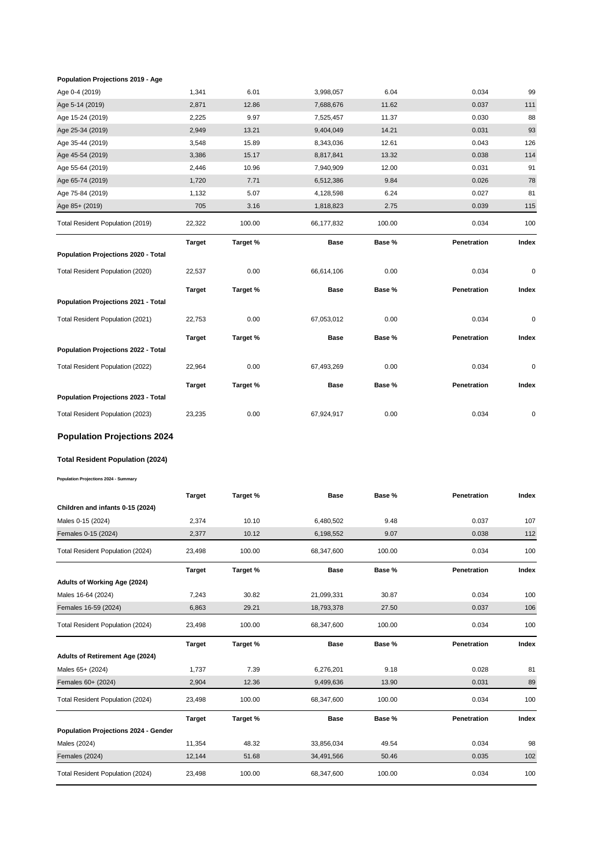#### **Population Projections 2019 - Age**

| Age 0-4 (2019)                          | 1,341         | 6.01     | 3,998,057   | 6.04   | 0.034       | 99        |
|-----------------------------------------|---------------|----------|-------------|--------|-------------|-----------|
| Age 5-14 (2019)                         | 2,871         | 12.86    | 7,688,676   | 11.62  | 0.037       | 111       |
| Age 15-24 (2019)                        | 2,225         | 9.97     | 7,525,457   | 11.37  | 0.030       | 88        |
| Age 25-34 (2019)                        | 2,949         | 13.21    | 9,404,049   | 14.21  | 0.031       | 93        |
| Age 35-44 (2019)                        | 3,548         | 15.89    | 8,343,036   | 12.61  | 0.043       | 126       |
| Age 45-54 (2019)                        | 3,386         | 15.17    | 8,817,841   | 13.32  | 0.038       | 114       |
| Age 55-64 (2019)                        | 2,446         | 10.96    | 7,940,909   | 12.00  | 0.031       | 91        |
| Age 65-74 (2019)                        | 1,720         | 7.71     | 6,512,386   | 9.84   | 0.026       | 78        |
| Age 75-84 (2019)                        | 1,132         | 5.07     | 4,128,598   | 6.24   | 0.027       | 81        |
| Age 85+ (2019)                          | 705           | 3.16     | 1,818,823   | 2.75   | 0.039       | 115       |
| Total Resident Population (2019)        | 22,322        | 100.00   | 66,177,832  | 100.00 | 0.034       | 100       |
|                                         | <b>Target</b> | Target % | <b>Base</b> | Base % | Penetration | Index     |
| Population Projections 2020 - Total     |               |          |             |        |             |           |
| Total Resident Population (2020)        | 22,537        | 0.00     | 66,614,106  | 0.00   | 0.034       | $\pmb{0}$ |
|                                         | <b>Target</b> | Target % | <b>Base</b> | Base % | Penetration | Index     |
| Population Projections 2021 - Total     |               |          |             |        |             |           |
| Total Resident Population (2021)        | 22,753        | 0.00     | 67,053,012  | 0.00   | 0.034       | $\pmb{0}$ |
|                                         | <b>Target</b> | Target % | Base        | Base % | Penetration | Index     |
| Population Projections 2022 - Total     |               |          |             |        |             |           |
| Total Resident Population (2022)        | 22,964        | 0.00     | 67,493,269  | 0.00   | 0.034       | $\pmb{0}$ |
|                                         | <b>Target</b> | Target % | <b>Base</b> | Base % | Penetration | Index     |
| Population Projections 2023 - Total     |               |          |             |        |             |           |
| Total Resident Population (2023)        | 23,235        | 0.00     | 67,924,917  | 0.00   | 0.034       | 0         |
| <b>Population Projections 2024</b>      |               |          |             |        |             |           |
| <b>Total Resident Population (2024)</b> |               |          |             |        |             |           |

**Population Projections 2024 - Summary**

|                                      | <b>Target</b> | Target % | <b>Base</b> | Base % | Penetration | Index |
|--------------------------------------|---------------|----------|-------------|--------|-------------|-------|
| Children and infants 0-15 (2024)     |               |          |             |        |             |       |
| Males 0-15 (2024)                    | 2,374         | 10.10    | 6,480,502   | 9.48   | 0.037       | 107   |
| Females 0-15 (2024)                  | 2,377         | 10.12    | 6,198,552   | 9.07   | 0.038       | 112   |
| Total Resident Population (2024)     | 23,498        | 100.00   | 68,347,600  | 100.00 | 0.034       | 100   |
|                                      | <b>Target</b> | Target % | <b>Base</b> | Base % | Penetration | Index |
| Adults of Working Age (2024)         |               |          |             |        |             |       |
| Males 16-64 (2024)                   | 7,243         | 30.82    | 21,099,331  | 30.87  | 0.034       | 100   |
| Females 16-59 (2024)                 | 6,863         | 29.21    | 18,793,378  | 27.50  | 0.037       | 106   |
| Total Resident Population (2024)     | 23,498        | 100.00   | 68,347,600  | 100.00 | 0.034       | 100   |
|                                      |               |          |             |        |             |       |
|                                      | <b>Target</b> | Target % | <b>Base</b> | Base % | Penetration | Index |
| Adults of Retirement Age (2024)      |               |          |             |        |             |       |
| Males 65+ (2024)                     | 1,737         | 7.39     | 6,276,201   | 9.18   | 0.028       | 81    |
| Females 60+ (2024)                   | 2,904         | 12.36    | 9,499,636   | 13.90  | 0.031       | 89    |
| Total Resident Population (2024)     | 23,498        | 100.00   | 68,347,600  | 100.00 | 0.034       | 100   |
|                                      | <b>Target</b> | Target % | <b>Base</b> | Base % | Penetration | Index |
| Population Projections 2024 - Gender |               |          |             |        |             |       |
| Males (2024)                         | 11,354        | 48.32    | 33,856,034  | 49.54  | 0.034       | 98    |
| <b>Females (2024)</b>                | 12,144        | 51.68    | 34,491,566  | 50.46  | 0.035       | 102   |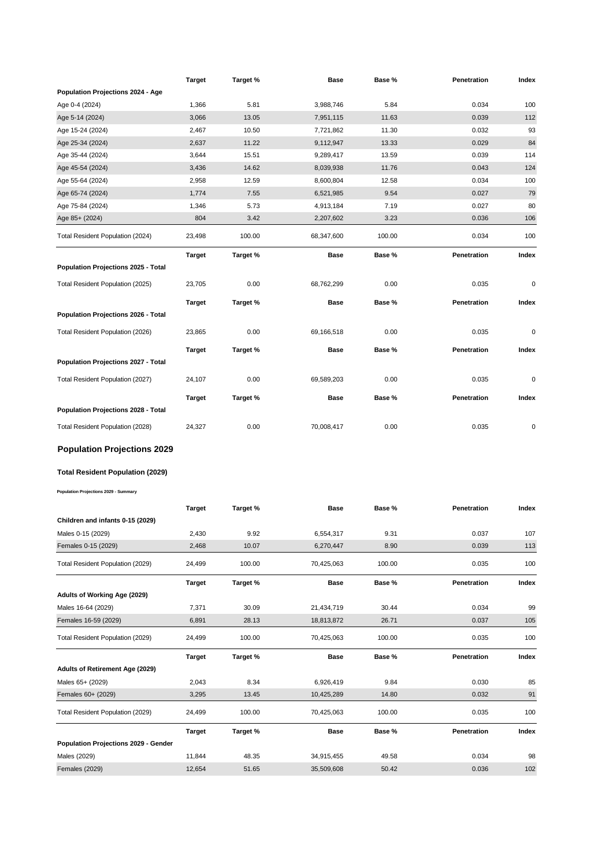|                                              | <b>Target</b> | Target % | Base        | Base % | Penetration | Index |
|----------------------------------------------|---------------|----------|-------------|--------|-------------|-------|
| Population Projections 2024 - Age            |               |          |             |        |             |       |
| Age 0-4 (2024)                               | 1,366         | 5.81     | 3,988,746   | 5.84   | 0.034       | 100   |
| Age 5-14 (2024)                              | 3,066         | 13.05    | 7,951,115   | 11.63  | 0.039       | 112   |
| Age 15-24 (2024)                             | 2,467         | 10.50    | 7,721,862   | 11.30  | 0.032       | 93    |
| Age 25-34 (2024)                             | 2,637         | 11.22    | 9,112,947   | 13.33  | 0.029       | 84    |
| Age 35-44 (2024)                             | 3,644         | 15.51    | 9,289,417   | 13.59  | 0.039       | 114   |
| Age 45-54 (2024)                             | 3,436         | 14.62    | 8,039,938   | 11.76  | 0.043       | 124   |
| Age 55-64 (2024)                             | 2,958         | 12.59    | 8,600,804   | 12.58  | 0.034       | 100   |
| Age 65-74 (2024)                             | 1,774         | 7.55     | 6,521,985   | 9.54   | 0.027       | 79    |
| Age 75-84 (2024)                             | 1,346         | 5.73     | 4,913,184   | 7.19   | 0.027       | 80    |
| Age 85+ (2024)                               | 804           | 3.42     | 2,207,602   | 3.23   | 0.036       | 106   |
| Total Resident Population (2024)             | 23,498        | 100.00   | 68,347,600  | 100.00 | 0.034       | 100   |
|                                              | Target        | Target % | Base        | Base % | Penetration | Index |
| Population Projections 2025 - Total          |               |          |             |        |             |       |
| Total Resident Population (2025)             | 23,705        | 0.00     | 68,762,299  | 0.00   | 0.035       | 0     |
| Population Projections 2026 - Total          | <b>Target</b> | Target % | Base        | Base % | Penetration | Index |
|                                              |               |          |             |        |             |       |
| Total Resident Population (2026)             | 23,865        | 0.00     | 69,166,518  | 0.00   | 0.035       | 0     |
|                                              | <b>Target</b> | Target % | <b>Base</b> | Base % | Penetration | Index |
| Population Projections 2027 - Total          |               |          |             |        |             |       |
| Total Resident Population (2027)             | 24,107        | 0.00     | 69,589,203  | 0.00   | 0.035       | 0     |
|                                              | <b>Target</b> | Target % | Base        | Base % | Penetration | Index |
| Population Projections 2028 - Total          |               |          |             |        |             |       |
| Total Resident Population (2028)             | 24,327        | 0.00     | 70,008,417  | 0.00   | 0.035       | 0     |
| <b>Population Projections 2029</b>           |               |          |             |        |             |       |
| Total Resident Population (2029)             |               |          |             |        |             |       |
| <b>Population Projections 2029 - Summary</b> |               |          |             |        |             |       |
|                                              |               |          |             |        |             |       |
|                                              | Target        | Target % | Base        | Base % | Penetration | Index |
| Children and infants 0-15 (2029)             |               |          |             |        |             |       |
| Males 0-15 (2029)                            | 2,430         | 9.92     | 6,554,317   | 9.31   | 0.037       | 107   |
| Females 0-15 (2029)                          | 2,468         | 10.07    | 6,270,447   | 8.90   | 0.039       | 113   |
| Total Resident Population (2029)             | 24,499        | 100.00   | 70,425,063  | 100.00 | 0.035       | 100   |
|                                              | <b>Target</b> | Target % | Base        | Base % | Penetration | Index |
| Adults of Working Age (2029)                 |               |          |             |        |             |       |
| Males 16-64 (2029)                           | 7,371         | 30.09    | 21,434,719  | 30.44  | 0.034       | 99    |
| Females 16-59 (2029)                         | 6,891         | 28.13    | 18,813,872  | 26.71  | 0.037       | 105   |
| Total Resident Population (2029)             | 24,499        | 100.00   | 70,425,063  | 100.00 | 0.035       | 100   |
|                                              | Target        | Target % | Base        | Base % | Penetration | Index |
| <b>Adults of Retirement Age (2029)</b>       |               |          |             |        |             |       |
| Males 65+ (2029)                             | 2,043         | 8.34     | 6,926,419   | 9.84   | 0.030       | 85    |
| Females 60+ (2029)                           | 3,295         | 13.45    | 10,425,289  | 14.80  | 0.032       | 91    |
| Total Resident Population (2029)             | 24,499        | 100.00   | 70,425,063  | 100.00 | 0.035       | 100   |
|                                              | <b>Target</b> | Target % | <b>Base</b> | Base % | Penetration | Index |
| Population Projections 2029 - Gender         |               |          |             |        |             |       |
| Males (2029)                                 | 11,844        | 48.35    | 34,915,455  | 49.58  | 0.034       | 98    |
| <b>Females (2029)</b>                        | 12,654        | 51.65    | 35,509,608  | 50.42  | 0.036       | 102   |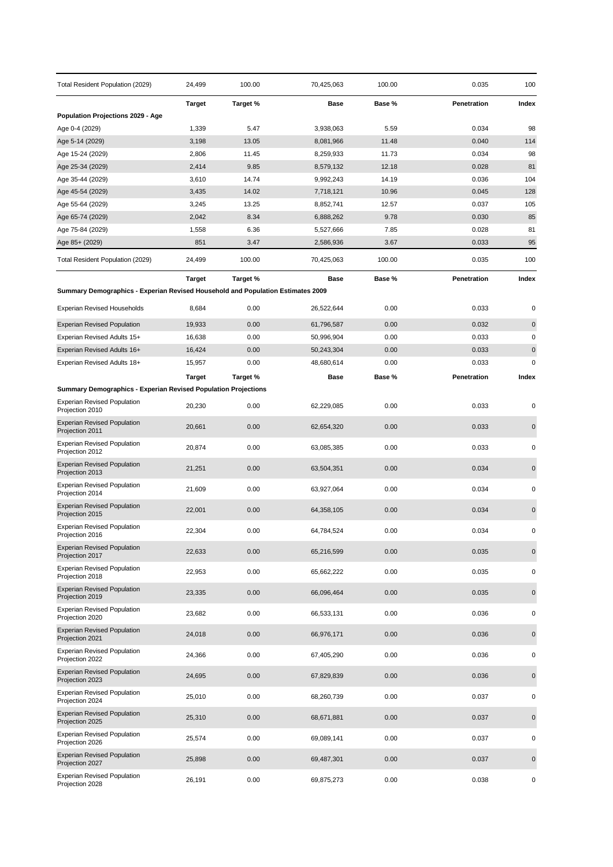| Total Resident Population (2029)                                                | 24,499        | 100.00   | 70,425,063 | 100.00 | 0.035       | 100         |
|---------------------------------------------------------------------------------|---------------|----------|------------|--------|-------------|-------------|
|                                                                                 | <b>Target</b> | Target % | Base       | Base % | Penetration | Index       |
| <b>Population Projections 2029 - Age</b>                                        |               |          |            |        |             |             |
| Age 0-4 (2029)                                                                  | 1,339         | 5.47     | 3,938,063  | 5.59   | 0.034       | 98          |
| Age 5-14 (2029)                                                                 | 3,198         | 13.05    | 8,081,966  | 11.48  | 0.040       | 114         |
| Age 15-24 (2029)                                                                | 2,806         | 11.45    | 8,259,933  | 11.73  | 0.034       | 98          |
| Age 25-34 (2029)                                                                | 2,414         | 9.85     | 8,579,132  | 12.18  | 0.028       | 81          |
| Age 35-44 (2029)                                                                | 3,610         | 14.74    | 9,992,243  | 14.19  | 0.036       | 104         |
| Age 45-54 (2029)                                                                | 3,435         | 14.02    | 7,718,121  | 10.96  | 0.045       | 128         |
| Age 55-64 (2029)                                                                | 3,245         | 13.25    | 8,852,741  | 12.57  | 0.037       | 105         |
| Age 65-74 (2029)                                                                | 2,042         | 8.34     | 6,888,262  | 9.78   | 0.030       | 85          |
| Age 75-84 (2029)                                                                | 1,558         | 6.36     | 5,527,666  | 7.85   | 0.028       | 81          |
| Age 85+ (2029)                                                                  | 851           | 3.47     | 2,586,936  | 3.67   | 0.033       | 95          |
| Total Resident Population (2029)                                                | 24,499        | 100.00   | 70,425,063 | 100.00 | 0.035       | 100         |
|                                                                                 | <b>Target</b> | Target % | Base       | Base % | Penetration | Index       |
| Summary Demographics - Experian Revised Household and Population Estimates 2009 |               |          |            |        |             |             |
| <b>Experian Revised Households</b>                                              | 8,684         | 0.00     | 26,522,644 | 0.00   | 0.033       | 0           |
| <b>Experian Revised Population</b>                                              | 19,933        | 0.00     | 61,796,587 | 0.00   | 0.032       | $\mathbf 0$ |
| Experian Revised Adults 15+                                                     | 16,638        | 0.00     | 50,996,904 | 0.00   | 0.033       | $\pmb{0}$   |
| Experian Revised Adults 16+                                                     | 16,424        | 0.00     | 50,243,304 | 0.00   | 0.033       | $\pmb{0}$   |
| Experian Revised Adults 18+                                                     | 15,957        | 0.00     | 48,680,614 | 0.00   | 0.033       | $\mathbf 0$ |
|                                                                                 | <b>Target</b> | Target % | Base       | Base % | Penetration | Index       |
| <b>Summary Demographics - Experian Revised Population Projections</b>           |               |          |            |        |             |             |
| <b>Experian Revised Population</b>                                              |               |          |            |        |             |             |
| Projection 2010                                                                 | 20,230        | 0.00     | 62,229,085 | 0.00   | 0.033       | 0           |
| <b>Experian Revised Population</b><br>Projection 2011                           | 20,661        | 0.00     | 62,654,320 | 0.00   | 0.033       | $\mathbf 0$ |
| <b>Experian Revised Population</b><br>Projection 2012                           | 20,874        | 0.00     | 63,085,385 | 0.00   | 0.033       | 0           |
| <b>Experian Revised Population</b><br>Projection 2013                           | 21,251        | 0.00     | 63,504,351 | 0.00   | 0.034       | $\pmb{0}$   |
| <b>Experian Revised Population</b><br>Projection 2014                           | 21,609        | 0.00     | 63,927,064 | 0.00   | 0.034       | 0           |
| <b>Experian Revised Population</b><br>Projection 2015                           | 22,001        | 0.00     | 64,358,105 | 0.00   | 0.034       | $\mathbf 0$ |
| <b>Experian Revised Population</b><br>Projection 2016                           | 22,304        | 0.00     | 64,784,524 | 0.00   | 0.034       | 0           |
| <b>Experian Revised Population</b><br>Projection 2017                           | 22,633        | 0.00     | 65,216,599 | 0.00   | 0.035       | $\pmb{0}$   |
| <b>Experian Revised Population</b><br>Projection 2018                           | 22,953        | 0.00     | 65,662,222 | 0.00   | 0.035       | 0           |
| <b>Experian Revised Population</b><br>Projection 2019                           | 23,335        | 0.00     | 66,096,464 | 0.00   | 0.035       | $\pmb{0}$   |
| <b>Experian Revised Population</b><br>Projection 2020                           | 23,682        | 0.00     | 66,533,131 | 0.00   | 0.036       | 0           |
| <b>Experian Revised Population</b><br>Projection 2021                           | 24,018        | 0.00     | 66,976,171 | 0.00   | 0.036       | $\pmb{0}$   |
| <b>Experian Revised Population</b><br>Projection 2022                           | 24,366        | 0.00     | 67,405,290 | 0.00   | 0.036       | 0           |
| <b>Experian Revised Population</b><br>Projection 2023                           | 24,695        | 0.00     | 67,829,839 | 0.00   | 0.036       | $\mathbf 0$ |
| <b>Experian Revised Population</b><br>Projection 2024                           | 25,010        | 0.00     | 68,260,739 | 0.00   | 0.037       | $\pmb{0}$   |
| <b>Experian Revised Population</b><br>Projection 2025                           | 25,310        | 0.00     | 68,671,881 | 0.00   | 0.037       | $\mathbf 0$ |
| <b>Experian Revised Population</b><br>Projection 2026                           | 25,574        | 0.00     | 69,089,141 | 0.00   | 0.037       | 0           |
| <b>Experian Revised Population</b><br>Projection 2027                           | 25,898        | 0.00     | 69,487,301 | 0.00   | 0.037       | $\mathbf 0$ |
| <b>Experian Revised Population</b><br>Projection 2028                           | 26,191        | 0.00     | 69,875,273 | 0.00   | 0.038       | 0           |